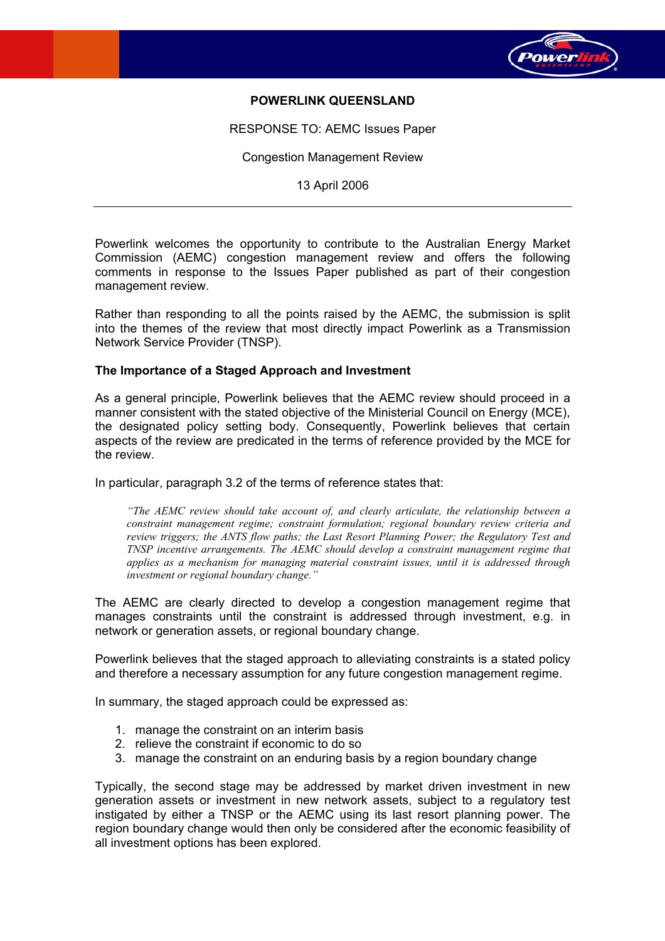

# **POWERLINK QUEENSLAND**

RESPONSE TO: AEMC Issues Paper

Congestion Management Review

13 April 2006

Powerlink welcomes the opportunity to contribute to the Australian Energy Market Commission (AEMC) congestion management review and offers the following comments in response to the Issues Paper published as part of their congestion management review.

Rather than responding to all the points raised by the AEMC, the submission is split into the themes of the review that most directly impact Powerlink as a Transmission Network Service Provider (TNSP).

#### **The Importance of a Staged Approach and Investment**

As a general principle, Powerlink believes that the AEMC review should proceed in a manner consistent with the stated objective of the Ministerial Council on Energy (MCE), the designated policy setting body. Consequently, Powerlink believes that certain aspects of the review are predicated in the terms of reference provided by the MCE for the review.

In particular, paragraph 3.2 of the terms of reference states that:

*"The AEMC review should take account of, and clearly articulate, the relationship between a constraint management regime; constraint formulation; regional boundary review criteria and review triggers; the ANTS flow paths; the Last Resort Planning Power; the Regulatory Test and TNSP incentive arrangements. The AEMC should develop a constraint management regime that applies as a mechanism for managing material constraint issues, until it is addressed through investment or regional boundary change."* 

The AEMC are clearly directed to develop a congestion management regime that manages constraints until the constraint is addressed through investment, e.g. in network or generation assets, or regional boundary change.

Powerlink believes that the staged approach to alleviating constraints is a stated policy and therefore a necessary assumption for any future congestion management regime.

In summary, the staged approach could be expressed as:

- 1. manage the constraint on an interim basis
- 2. relieve the constraint if economic to do so
- 3. manage the constraint on an enduring basis by a region boundary change

Typically, the second stage may be addressed by market driven investment in new generation assets or investment in new network assets, subject to a regulatory test instigated by either a TNSP or the AEMC using its last resort planning power. The region boundary change would then only be considered after the economic feasibility of all investment options has been explored.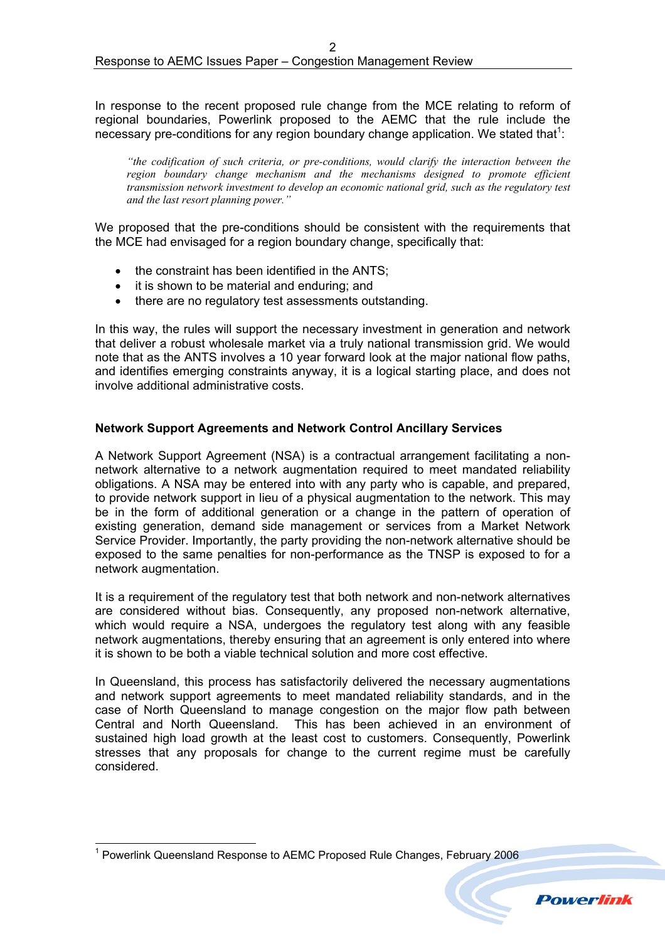In response to the recent proposed rule change from the MCE relating to reform of regional boundaries, Powerlink proposed to the AEMC that the rule include the necessary pre-conditions for any region boundary change application. We stated that<sup>[1](#page-1-0)</sup>:

*"the codification of such criteria, or pre-conditions, would clarify the interaction between the region boundary change mechanism and the mechanisms designed to promote efficient transmission network investment to develop an economic national grid, such as the regulatory test and the last resort planning power."* 

We proposed that the pre-conditions should be consistent with the requirements that the MCE had envisaged for a region boundary change, specifically that:

- the constraint has been identified in the ANTS:
- it is shown to be material and enduring; and
- there are no regulatory test assessments outstanding.

In this way, the rules will support the necessary investment in generation and network that deliver a robust wholesale market via a truly national transmission grid. We would note that as the ANTS involves a 10 year forward look at the major national flow paths, and identifies emerging constraints anyway, it is a logical starting place, and does not involve additional administrative costs.

# **Network Support Agreements and Network Control Ancillary Services**

A Network Support Agreement (NSA) is a contractual arrangement facilitating a nonnetwork alternative to a network augmentation required to meet mandated reliability obligations. A NSA may be entered into with any party who is capable, and prepared, to provide network support in lieu of a physical augmentation to the network. This may be in the form of additional generation or a change in the pattern of operation of existing generation, demand side management or services from a Market Network Service Provider. Importantly, the party providing the non-network alternative should be exposed to the same penalties for non-performance as the TNSP is exposed to for a network augmentation.

It is a requirement of the regulatory test that both network and non-network alternatives are considered without bias. Consequently, any proposed non-network alternative, which would require a NSA, undergoes the regulatory test along with any feasible network augmentations, thereby ensuring that an agreement is only entered into where it is shown to be both a viable technical solution and more cost effective.

In Queensland, this process has satisfactorily delivered the necessary augmentations and network support agreements to meet mandated reliability standards, and in the case of North Queensland to manage congestion on the major flow path between Central and North Queensland. This has been achieved in an environment of sustained high load growth at the least cost to customers. Consequently, Powerlink stresses that any proposals for change to the current regime must be carefully considered.

<span id="page-1-0"></span> <sup>1</sup> Powerlink Queensland Response to AEMC Proposed Rule Changes, February 2006



**Powerlink**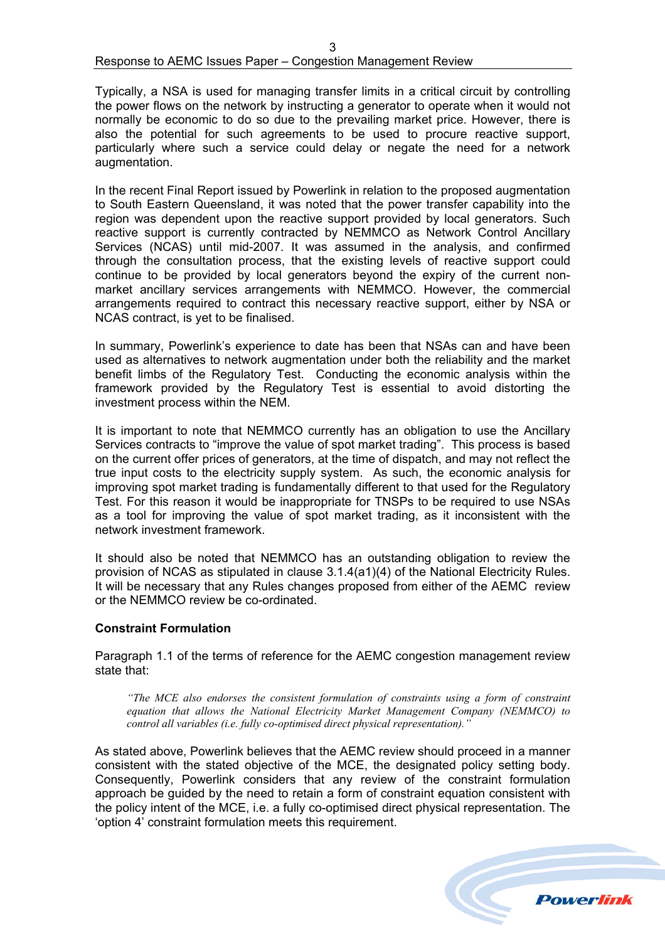# Response to AEMC Issues Paper – Congestion Management Review

Typically, a NSA is used for managing transfer limits in a critical circuit by controlling the power flows on the network by instructing a generator to operate when it would not normally be economic to do so due to the prevailing market price. However, there is also the potential for such agreements to be used to procure reactive support, particularly where such a service could delay or negate the need for a network augmentation.

In the recent Final Report issued by Powerlink in relation to the proposed augmentation to South Eastern Queensland, it was noted that the power transfer capability into the region was dependent upon the reactive support provided by local generators. Such reactive support is currently contracted by NEMMCO as Network Control Ancillary Services (NCAS) until mid-2007. It was assumed in the analysis, and confirmed through the consultation process, that the existing levels of reactive support could continue to be provided by local generators beyond the expiry of the current nonmarket ancillary services arrangements with NEMMCO. However, the commercial arrangements required to contract this necessary reactive support, either by NSA or NCAS contract, is yet to be finalised.

In summary, Powerlink's experience to date has been that NSAs can and have been used as alternatives to network augmentation under both the reliability and the market benefit limbs of the Regulatory Test. Conducting the economic analysis within the framework provided by the Regulatory Test is essential to avoid distorting the investment process within the NEM.

It is important to note that NEMMCO currently has an obligation to use the Ancillary Services contracts to "improve the value of spot market trading". This process is based on the current offer prices of generators, at the time of dispatch, and may not reflect the true input costs to the electricity supply system. As such, the economic analysis for improving spot market trading is fundamentally different to that used for the Regulatory Test. For this reason it would be inappropriate for TNSPs to be required to use NSAs as a tool for improving the value of spot market trading, as it inconsistent with the network investment framework.

It should also be noted that NEMMCO has an outstanding obligation to review the provision of NCAS as stipulated in clause 3.1.4(a1)(4) of the National Electricity Rules. It will be necessary that any Rules changes proposed from either of the AEMC review or the NEMMCO review be co-ordinated.

### **Constraint Formulation**

Paragraph 1.1 of the terms of reference for the AEMC congestion management review state that:

*"The MCE also endorses the consistent formulation of constraints using a form of constraint equation that allows the National Electricity Market Management Company (NEMMCO) to control all variables (i.e. fully co-optimised direct physical representation)."* 

As stated above, Powerlink believes that the AEMC review should proceed in a manner consistent with the stated objective of the MCE, the designated policy setting body. Consequently, Powerlink considers that any review of the constraint formulation approach be guided by the need to retain a form of constraint equation consistent with the policy intent of the MCE, i.e. a fully co-optimised direct physical representation. The 'option 4' constraint formulation meets this requirement.